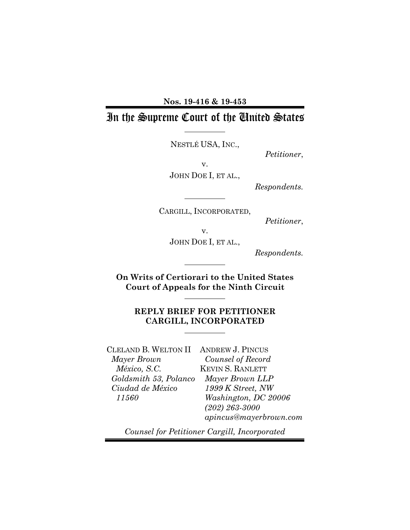#### **Nos. 19-416 & 19-453**

# In the Supreme Court of the United States

NESTLÉ USA, INC.,

*Petitioner*,

v.

JOHN DOE I, ET AL.,

*Respondents.*

CARGILL, INCORPORATED,

*Petitioner*,

v. JOHN DOE I, ET AL.,

*Respondents.*

**On Writs of Certiorari to the United States Court of Appeals for the Ninth Circuit** 

### **REPLY BRIEF FOR PETITIONER CARGILL, INCORPORATED**

CLELAND B. WELTON II ANDREW J. PINCUS *Mayer Brown México, S.C. Goldsmith 53, Polanco Ciudad de México 11560*

*Counsel of Record*  KEVIN S. RANLETT *Mayer Brown LLP 1999 K Street, NW Washington, DC 20006 (202) 263-3000 apincus@mayerbrown.com*

*Counsel for Petitioner Cargill, Incorporated*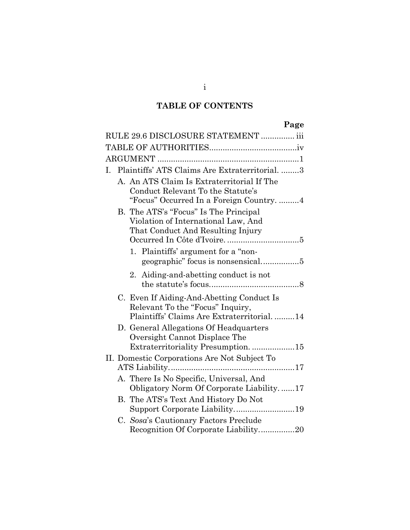# **TABLE OF CONTENTS**

# **Page**

| RULE 29.6 DISCLOSURE STATEMENT  iii          |  |                                                                                                                             |  |
|----------------------------------------------|--|-----------------------------------------------------------------------------------------------------------------------------|--|
|                                              |  |                                                                                                                             |  |
|                                              |  |                                                                                                                             |  |
|                                              |  | I. Plaintiffs' ATS Claims Are Extraterritorial. 3                                                                           |  |
|                                              |  | A. An ATS Claim Is Extraterritorial If The<br>Conduct Relevant To the Statute's<br>"Focus" Occurred In a Foreign Country. 4 |  |
|                                              |  | B. The ATS's "Focus" Is The Principal<br>Violation of International Law, And<br>That Conduct And Resulting Injury           |  |
|                                              |  | 1. Plaintiffs' argument for a "non-                                                                                         |  |
|                                              |  | Aiding-and-abetting conduct is not<br>2.                                                                                    |  |
|                                              |  | C. Even If Aiding-And-Abetting Conduct Is<br>Relevant To the "Focus" Inquiry,<br>Plaintiffs' Claims Are Extraterritorial14  |  |
|                                              |  | D. General Allegations Of Headquarters<br>Oversight Cannot Displace The                                                     |  |
|                                              |  | Extraterritoriality Presumption. 15                                                                                         |  |
| II. Domestic Corporations Are Not Subject To |  |                                                                                                                             |  |
|                                              |  | A. There Is No Specific, Universal, And<br>Obligatory Norm Of Corporate Liability17                                         |  |
|                                              |  | B. The ATS's Text And History Do Not                                                                                        |  |
|                                              |  | C. Sosa's Cautionary Factors Preclude<br>Recognition Of Corporate Liability20                                               |  |

i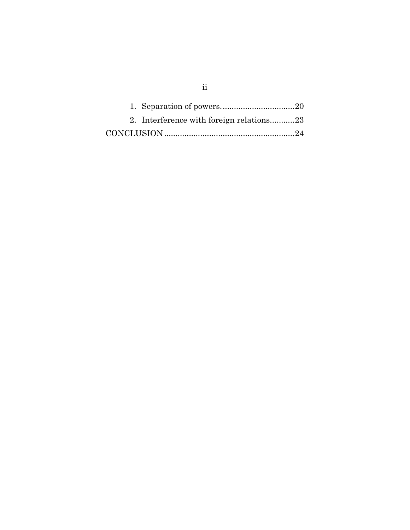| 2. Interference with foreign relations23 |  |
|------------------------------------------|--|
|                                          |  |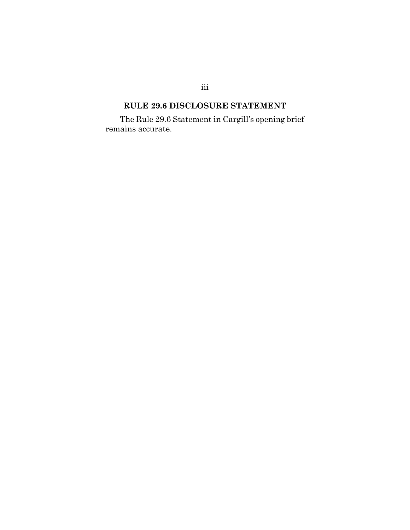# **RULE 29.6 DISCLOSURE STATEMENT**

<span id="page-3-0"></span>The Rule 29.6 Statement in Cargill's opening brief remains accurate.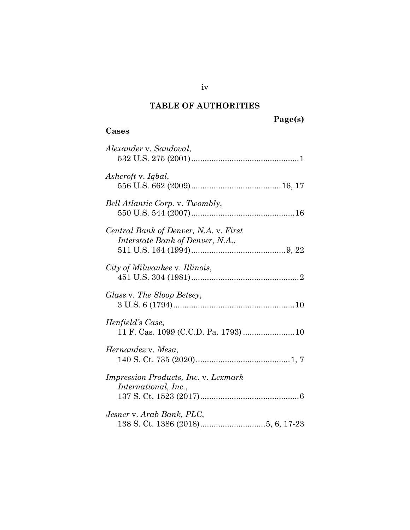# **TABLE OF AUTHORITIES**

## <span id="page-4-0"></span>**Cases**

| Alexander v. Sandoval,                                                    |
|---------------------------------------------------------------------------|
| Ashcroft v. Iqbal,                                                        |
| Bell Atlantic Corp. v. Twombly,                                           |
| Central Bank of Denver, N.A. v. First<br>Interstate Bank of Denver, N.A., |
| City of Milwaukee v. Illinois,                                            |
| Glass v. The Sloop Betsey,                                                |
| Henfield's Case,                                                          |
| Hernandez v. Mesa,                                                        |
| Impression Products, Inc. v. Lexmark<br>International, Inc.,              |
| Jesner v. Arab Bank, PLC,                                                 |

iv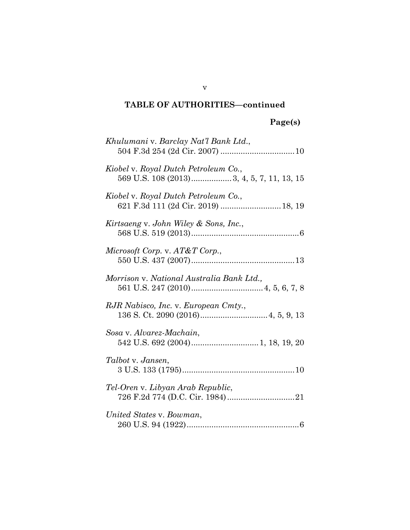### **TABLE OF AUTHORITIES—continued**

# **Page(s)**

| Khulumani v. Barclay Nat'l Bank Ltd.,                                       |
|-----------------------------------------------------------------------------|
| Kiobel v. Royal Dutch Petroleum Co.,                                        |
| Kiobel v. Royal Dutch Petroleum Co.,<br>621 F.3d 111 (2d Cir. 2019)  18, 19 |
| Kirtsaeng v. John Wiley & Sons, Inc.,                                       |
| Microsoft Corp. v. AT&T Corp.,                                              |
| Morrison v. National Australia Bank Ltd.,                                   |
| RJR Nabisco, Inc. v. European Cmty.,                                        |
| Sosa v. Alvarez-Machain,                                                    |
| Talbot v. Jansen,                                                           |
| Tel-Oren v. Libyan Arab Republic,                                           |
| United States v. Bowman,                                                    |

v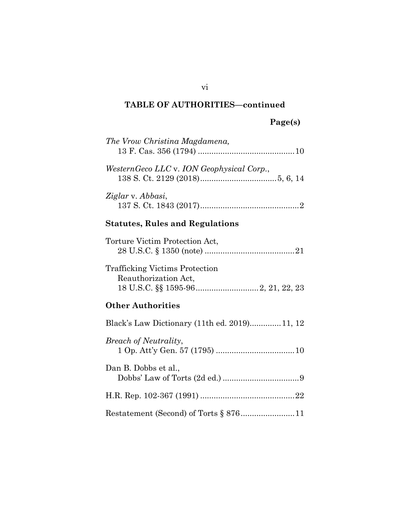## **TABLE OF AUTHORITIES—continued**

## **Page(s)**

| The Vrow Christina Magdamena,             |  |  |
|-------------------------------------------|--|--|
| WesternGeco LLC v. ION Geophysical Corp., |  |  |
| Ziglar v. Abbasi,                         |  |  |
| <b>Statutes, Rules and Regulations</b>    |  |  |

| Torture Victim Protection Act,                                |  |
|---------------------------------------------------------------|--|
| <b>Trafficking Victims Protection</b><br>Reauthorization Act, |  |
|                                                               |  |

## **Other Authorities**

| Black's Law Dictionary (11th ed. 2019)11, 12 |
|----------------------------------------------|
| <i>Breach of Neutrality,</i>                 |
| Dan B. Dobbs et al.,                         |
|                                              |
|                                              |

vi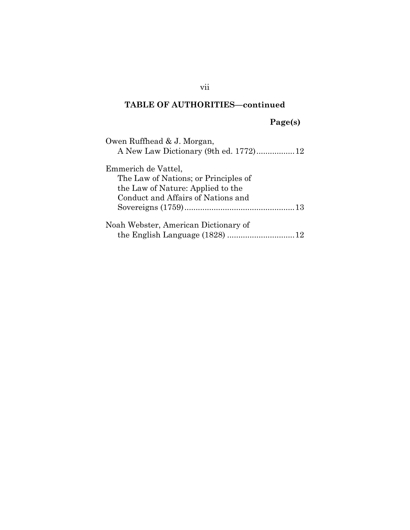### **TABLE OF AUTHORITIES—continued**

**Page(s)**

| Owen Ruffhead & J. Morgan,<br>A New Law Dictionary (9th ed. 1772)12 |
|---------------------------------------------------------------------|
| Emmerich de Vattel,                                                 |
| The Law of Nations; or Principles of                                |
| the Law of Nature: Applied to the                                   |
| Conduct and Affairs of Nations and                                  |
|                                                                     |
| Noah Webster, American Dictionary of                                |
|                                                                     |

vii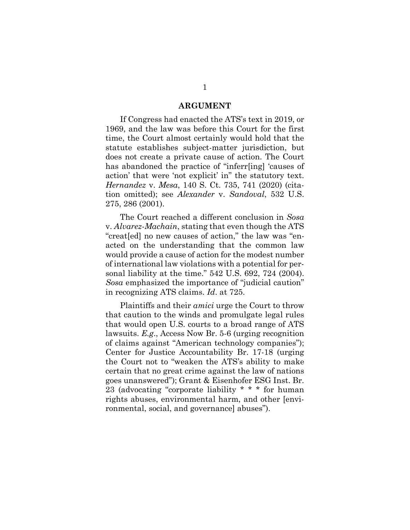#### **ARGUMENT**

<span id="page-8-0"></span>If Congress had enacted the ATS's text in 2019, or 1969, and the law was before this Court for the first time, the Court almost certainly would hold that the statute establishes subject-matter jurisdiction, but does not create a private cause of action. The Court has abandoned the practice of "inferr[ing] 'causes of action' that were 'not explicit' in" the statutory text. *Hernandez* v. *Mesa*, 140 S. Ct. 735, 741 (2020) (citation omitted); see *Alexander* v. *Sandoval*, 532 U.S. 275, 286 (2001).

The Court reached a different conclusion in *Sosa* v. *Alvarez-Machain*, stating that even though the ATS "creat[ed] no new causes of action," the law was "enacted on the understanding that the common law would provide a cause of action for the modest number of international law violations with a potential for personal liability at the time." 542 U.S. 692, 724 (2004). *Sosa* emphasized the importance of "judicial caution" in recognizing ATS claims. *Id*. at 725.

Plaintiffs and their *amici* urge the Court to throw that caution to the winds and promulgate legal rules that would open U.S. courts to a broad range of ATS lawsuits. *E.g*., Access Now Br. 5-6 (urging recognition of claims against "American technology companies"); Center for Justice Accountability Br. 17-18 (urging the Court not to "weaken the ATS's ability to make certain that no great crime against the law of nations goes unanswered"); Grant & Eisenhofer ESG Inst. Br. 23 (advocating "corporate liability \* \* \* for human rights abuses, environmental harm, and other [environmental, social, and governance] abuses").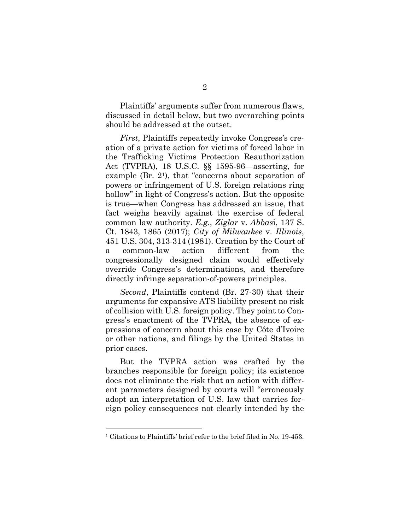Plaintiffs' arguments suffer from numerous flaws, discussed in detail below, but two overarching points should be addressed at the outset.

*First*, Plaintiffs repeatedly invoke Congress's creation of a private action for victims of forced labor in the Trafficking Victims Protection Reauthorization Act (TVPRA), 18 U.S.C. §§ 1595-96—asserting, for example (Br. 21), that "concerns about separation of powers or infringement of U.S. foreign relations ring hollow" in light of Congress's action. But the opposite is true—when Congress has addressed an issue, that fact weighs heavily against the exercise of federal common law authority. *E.g*., *Ziglar* v. *Abbas*i, 137 S. Ct. 1843, 1865 (2017); *City of Milwaukee* v. *Illinois*, 451 U.S. 304, 313-314 (1981). Creation by the Court of a common-law action different from the congressionally designed claim would effectively override Congress's determinations, and therefore directly infringe separation-of-powers principles.

*Second*, Plaintiffs contend (Br. 27-30) that their arguments for expansive ATS liability present no risk of collision with U.S. foreign policy. They point to Congress's enactment of the TVPRA, the absence of expressions of concern about this case by Côte d'Ivoire or other nations, and filings by the United States in prior cases.

But the TVPRA action was crafted by the branches responsible for foreign policy; its existence does not eliminate the risk that an action with different parameters designed by courts will "erroneously adopt an interpretation of U.S. law that carries foreign policy consequences not clearly intended by the

<sup>1</sup> Citations to Plaintiffs' brief refer to the brief filed in No. 19-453.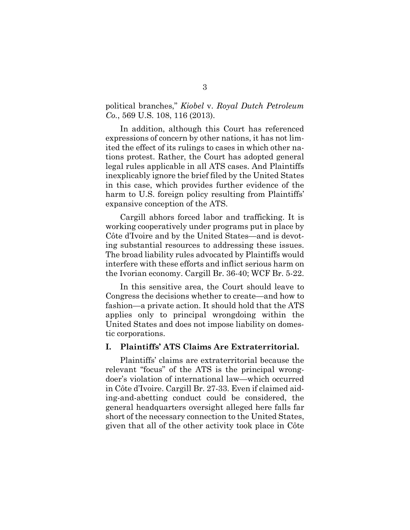political branches," *Kiobel* v. *Royal Dutch Petroleum Co.*, 569 U.S. 108, 116 (2013).

In addition, although this Court has referenced expressions of concern by other nations, it has not limited the effect of its rulings to cases in which other nations protest. Rather, the Court has adopted general legal rules applicable in all ATS cases. And Plaintiffs inexplicably ignore the brief filed by the United States in this case, which provides further evidence of the harm to U.S. foreign policy resulting from Plaintiffs' expansive conception of the ATS.

Cargill abhors forced labor and trafficking. It is working cooperatively under programs put in place by Côte d'Ivoire and by the United States—and is devoting substantial resources to addressing these issues. The broad liability rules advocated by Plaintiffs would interfere with these efforts and inflict serious harm on the Ivorian economy. Cargill Br. 36-40; WCF Br. 5-22.

In this sensitive area, the Court should leave to Congress the decisions whether to create—and how to fashion—a private action. It should hold that the ATS applies only to principal wrongdoing within the United States and does not impose liability on domestic corporations.

#### <span id="page-10-0"></span>**I. Plaintiffs' ATS Claims Are Extraterritorial.**

Plaintiffs' claims are extraterritorial because the relevant "focus" of the ATS is the principal wrongdoer's violation of international law—which occurred in Côte d'Ivoire. Cargill Br. 27-33. Even if claimed aiding-and-abetting conduct could be considered, the general headquarters oversight alleged here falls far short of the necessary connection to the United States, given that all of the other activity took place in Côte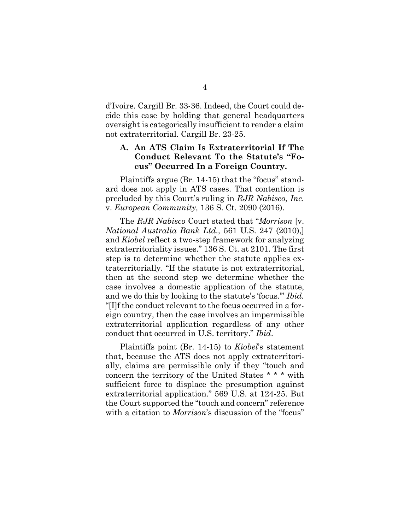d'Ivoire. Cargill Br. 33-36. Indeed, the Court could decide this case by holding that general headquarters oversight is categorically insufficient to render a claim not extraterritorial. Cargill Br. 23-25.

### <span id="page-11-0"></span>**A. An ATS Claim Is Extraterritorial If The Conduct Relevant To the Statute's "Focus" Occurred In a Foreign Country.**

Plaintiffs argue (Br. 14-15) that the "focus" standard does not apply in ATS cases. That contention is precluded by this Court's ruling in *RJR Nabisco, Inc.*  v. *European Community,* 136 S. Ct. 2090 (2016).

The *RJR Nabisco* Court stated that "*Morrison* [v. *National Australia Bank Ltd.,* 561 U.S. 247 (2010),] and *Kiobel* reflect a two-step framework for analyzing extraterritoriality issues." 136 S. Ct. at 2101. The first step is to determine whether the statute applies extraterritorially. "If the statute is not extraterritorial, then at the second step we determine whether the case involves a domestic application of the statute, and we do this by looking to the statute's 'focus.'" *Ibid.* "[I]f the conduct relevant to the focus occurred in a foreign country, then the case involves an impermissible extraterritorial application regardless of any other conduct that occurred in U.S. territory." *Ibid*.

Plaintiffs point (Br. 14-15) to *Kiobel*'s statement that, because the ATS does not apply extraterritorially, claims are permissible only if they "touch and concern the territory of the United States \* \* \* with sufficient force to displace the presumption against extraterritorial application." 569 U.S. at 124-25. But the Court supported the "touch and concern" reference with a citation to *Morrison*'s discussion of the "focus"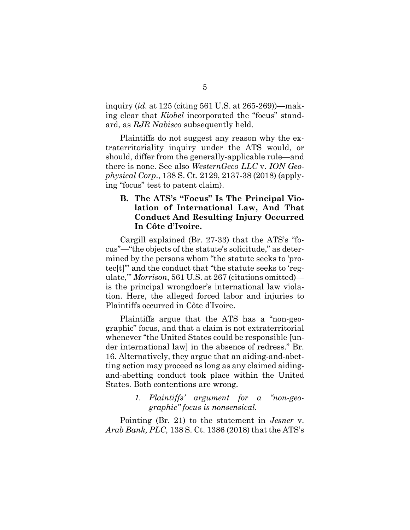inquiry (*id.* at 125 (citing 561 U.S. at 265-269))—making clear that *Kiobel* incorporated the "focus" standard, as *RJR Nabisco* subsequently held.

Plaintiffs do not suggest any reason why the extraterritoriality inquiry under the ATS would, or should, differ from the generally-applicable rule—and there is none. See also *WesternGeco LLC* v. *ION Geophysical Corp*., 138 S. Ct. 2129, 2137-38 (2018) (applying "focus" test to patent claim).

### <span id="page-12-0"></span>**B. The ATS's "Focus" Is The Principal Violation of International Law, And That Conduct And Resulting Injury Occurred In Côte d'Ivoire.**

Cargill explained (Br. 27-33) that the ATS's "focus"—"the objects of the statute's solicitude," as determined by the persons whom "the statute seeks to 'protec[t]'" and the conduct that "the statute seeks to 'regulate,'" *Morrison*, 561 U.S. at 267 (citations omitted) is the principal wrongdoer's international law violation. Here, the alleged forced labor and injuries to Plaintiffs occurred in Côte d'Ivoire.

Plaintiffs argue that the ATS has a "non-geographic" focus, and that a claim is not extraterritorial whenever "the United States could be responsible [under international law] in the absence of redress." Br. 16. Alternatively, they argue that an aiding-and-abetting action may proceed as long as any claimed aidingand-abetting conduct took place within the United States. Both contentions are wrong.

### *1. Plaintiffs' argument for a "non-geographic" focus is nonsensical.*

<span id="page-12-1"></span>Pointing (Br. 21) to the statement in *Jesner* v. *Arab Bank, PLC,* 138 S. Ct. 1386 (2018) that the ATS's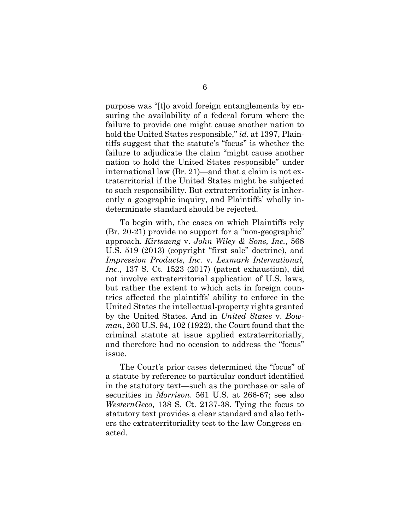purpose was "[t]o avoid foreign entanglements by ensuring the availability of a federal forum where the failure to provide one might cause another nation to hold the United States responsible," *id.* at 1397, Plaintiffs suggest that the statute's "focus" is whether the failure to adjudicate the claim "might cause another nation to hold the United States responsible" under international law (Br. 21)—and that a claim is not extraterritorial if the United States might be subjected to such responsibility. But extraterritoriality is inherently a geographic inquiry, and Plaintiffs' wholly indeterminate standard should be rejected.

To begin with, the cases on which Plaintiffs rely (Br. 20-21) provide no support for a "non-geographic" approach. *Kirtsaeng* v. *John Wiley & Sons, Inc.*, 568 U.S. 519 (2013) (copyright "first sale" doctrine), and *Impression Products, Inc.* v. *Lexmark International, Inc.*, 137 S. Ct. 1523 (2017) (patent exhaustion), did not involve extraterritorial application of U.S. laws, but rather the extent to which acts in foreign countries affected the plaintiffs' ability to enforce in the United States the intellectual-property rights granted by the United States. And in *United States* v. *Bowman*, 260 U.S. 94, 102 (1922), the Court found that the criminal statute at issue applied extraterritorially, and therefore had no occasion to address the "focus" issue.

The Court's prior cases determined the "focus" of a statute by reference to particular conduct identified in the statutory text—such as the purchase or sale of securities in *Morrison*. 561 U.S. at 266-67; see also *WesternGeco*, 138 S. Ct. 2137-38. Tying the focus to statutory text provides a clear standard and also tethers the extraterritoriality test to the law Congress enacted.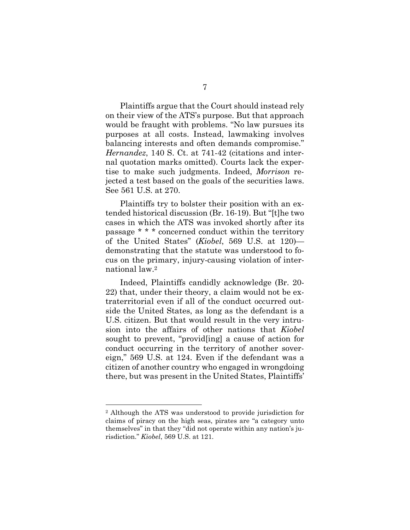Plaintiffs argue that the Court should instead rely on their view of the ATS's purpose. But that approach would be fraught with problems. "No law pursues its purposes at all costs. Instead, lawmaking involves balancing interests and often demands compromise." *Hernandez*, 140 S. Ct. at 741-42 (citations and internal quotation marks omitted). Courts lack the expertise to make such judgments. Indeed, *Morrison* rejected a test based on the goals of the securities laws. See 561 U.S. at 270.

Plaintiffs try to bolster their position with an extended historical discussion (Br. 16-19). But "[t]he two cases in which the ATS was invoked shortly after its passage \* \* \* concerned conduct within the territory of the United States" (*Kiobel*, 569 U.S. at 120) demonstrating that the statute was understood to focus on the primary, injury-causing violation of international law.<sup>2</sup>

Indeed, Plaintiffs candidly acknowledge (Br. 20- 22) that, under their theory, a claim would not be extraterritorial even if all of the conduct occurred outside the United States, as long as the defendant is a U.S. citizen. But that would result in the very intrusion into the affairs of other nations that *Kiobel* sought to prevent, "provid[ing] a cause of action for conduct occurring in the territory of another sovereign," 569 U.S. at 124. Even if the defendant was a citizen of another country who engaged in wrongdoing there, but was present in the United States, Plaintiffs'

<sup>2</sup> Although the ATS was understood to provide jurisdiction for claims of piracy on the high seas, pirates are "a category unto themselves" in that they "did not operate within any nation's jurisdiction." *Kiobel*, 569 U.S. at 121.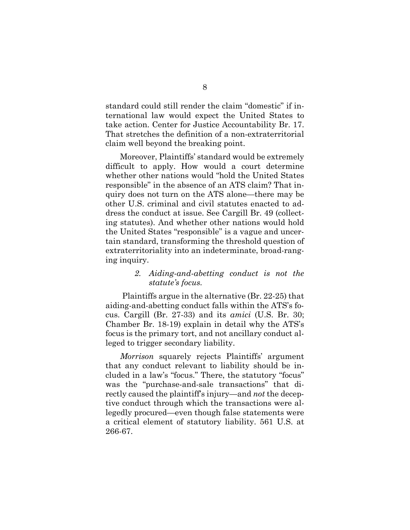standard could still render the claim "domestic" if international law would expect the United States to take action. Center for Justice Accountability Br. 17. That stretches the definition of a non-extraterritorial claim well beyond the breaking point.

Moreover, Plaintiffs' standard would be extremely difficult to apply. How would a court determine whether other nations would "hold the United States responsible" in the absence of an ATS claim? That inquiry does not turn on the ATS alone—there may be other U.S. criminal and civil statutes enacted to address the conduct at issue. See Cargill Br. 49 (collecting statutes). And whether other nations would hold the United States "responsible" is a vague and uncertain standard, transforming the threshold question of extraterritoriality into an indeterminate, broad-ranging inquiry.

#### *2. Aiding-and-abetting conduct is not the statute's focus.*

<span id="page-15-0"></span> Plaintiffs argue in the alternative (Br. 22-25) that aiding-and-abetting conduct falls within the ATS's focus. Cargill (Br. 27-33) and its *amici* (U.S. Br. 30; Chamber Br. 18-19) explain in detail why the ATS's focus is the primary tort, and not ancillary conduct alleged to trigger secondary liability.

*Morrison* squarely rejects Plaintiffs' argument that any conduct relevant to liability should be included in a law's "focus." There, the statutory "focus" was the "purchase-and-sale transactions" that directly caused the plaintiff's injury—and *not* the deceptive conduct through which the transactions were allegedly procured—even though false statements were a critical element of statutory liability. 561 U.S. at 266-67.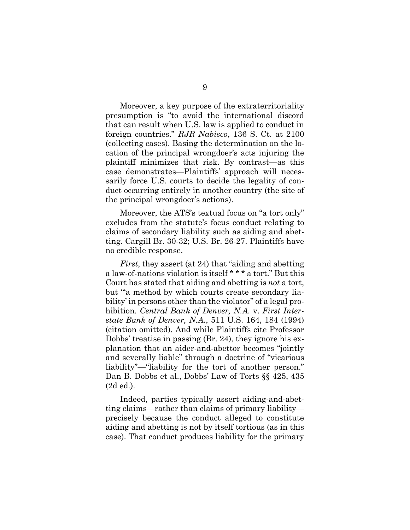Moreover, a key purpose of the extraterritoriality presumption is "to avoid the international discord that can result when U.S. law is applied to conduct in foreign countries." *RJR Nabisco*, 136 S. Ct. at 2100 (collecting cases). Basing the determination on the location of the principal wrongdoer's acts injuring the plaintiff minimizes that risk. By contrast—as this case demonstrates—Plaintiffs' approach will necessarily force U.S. courts to decide the legality of conduct occurring entirely in another country (the site of the principal wrongdoer's actions).

Moreover, the ATS's textual focus on "a tort only" excludes from the statute's focus conduct relating to claims of secondary liability such as aiding and abetting. Cargill Br. 30-32; U.S. Br. 26-27. Plaintiffs have no credible response.

*First*, they assert (at 24) that "aiding and abetting a law-of-nations violation is itself \* \* \* a tort." But this Court has stated that aiding and abetting is *not* a tort, but "'a method by which courts create secondary liability' in persons other than the violator" of a legal prohibition. *Central Bank of Denver, N.A.* v. *First Interstate Bank of Denver, N.A.*, 511 U.S. 164, 184 (1994) (citation omitted). And while Plaintiffs cite Professor Dobbs' treatise in passing (Br. 24), they ignore his explanation that an aider-and-abettor becomes "jointly and severally liable" through a doctrine of "vicarious liability"—"liability for the tort of another person." Dan B. Dobbs et al., Dobbs' Law of Torts §§ 425, 435 (2d ed.).

Indeed, parties typically assert aiding-and-abetting claims—rather than claims of primary liability precisely because the conduct alleged to constitute aiding and abetting is not by itself tortious (as in this case). That conduct produces liability for the primary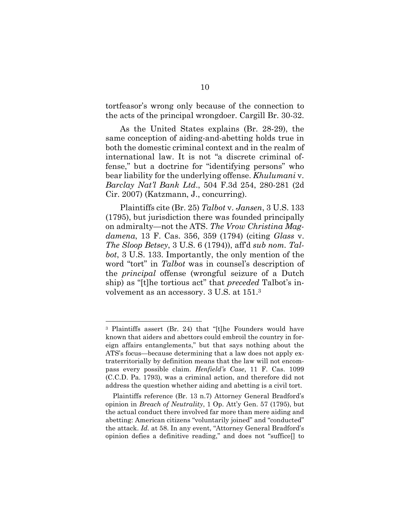tortfeasor's wrong only because of the connection to the acts of the principal wrongdoer. Cargill Br. 30-32.

As the United States explains (Br. 28-29), the same conception of aiding-and-abetting holds true in both the domestic criminal context and in the realm of international law. It is not "a discrete criminal offense," but a doctrine for "identifying persons" who bear liability for the underlying offense. *Khulumani* v. *Barclay Nat'l Bank Ltd*., 504 F.3d 254, 280-281 (2d Cir. 2007) (Katzmann, J., concurring).

Plaintiffs cite (Br. 25) *Talbot* v. *Jansen*, 3 U.S. 133 (1795), but jurisdiction there was founded principally on admiralty—not the ATS. *The Vrow Christina Magdamena*, 13 F. Cas. 356, 359 (1794) (citing *Glass* v. *The Sloop Betsey*, 3 U.S. 6 (1794)), aff'd *sub nom. Talbot*, 3 U.S. 133. Importantly, the only mention of the word "tort" in *Talbot* was in counsel's description of the *principal* offense (wrongful seizure of a Dutch ship) as "[t]he tortious act" that *preceded* Talbot's involvement as an accessory. 3 U.S. at 151.<sup>3</sup>

<sup>3</sup> Plaintiffs assert (Br. 24) that "[t]he Founders would have known that aiders and abettors could embroil the country in foreign affairs entanglements," but that says nothing about the ATS's focus—because determining that a law does not apply extraterritorially by definition means that the law will not encompass every possible claim. *Henfield's Case*, 11 F. Cas. 1099 (C.C.D. Pa. 1793), was a criminal action, and therefore did not address the question whether aiding and abetting is a civil tort.

Plaintiffs reference (Br. 13 n.7) Attorney General Bradford's opinion in *Breach of Neutrality*, 1 Op. Att'y Gen. 57 (1795), but the actual conduct there involved far more than mere aiding and abetting: American citizens "voluntarily joined" and "conducted" the attack. *Id.* at 58. In any event, "Attorney General Bradford's opinion defies a definitive reading," and does not "suffice[] to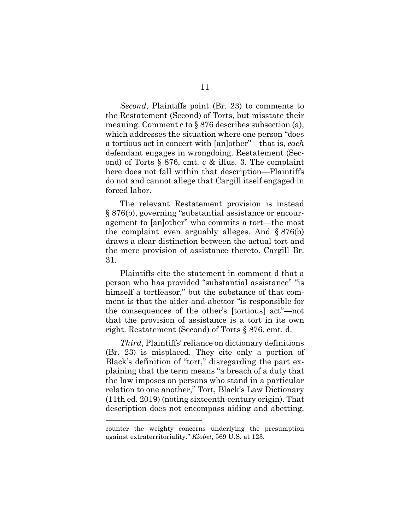*Second*, Plaintiffs point (Br. 23) to comments to the Restatement (Second) of Torts, but misstate their meaning. Comment c to § 876 describes subsection (a), which addresses the situation where one person "does a tortious act in concert with [an]other"—that is, *each* defendant engages in wrongdoing. Restatement (Second) of Torts § 876, cmt. c & illus. 3. The complaint here does not fall within that description—Plaintiffs do not and cannot allege that Cargill itself engaged in forced labor.

The relevant Restatement provision is instead § 876(b), governing "substantial assistance or encouragement to [an]other" who commits a tort—the most the complaint even arguably alleges. And § 876(b) draws a clear distinction between the actual tort and the mere provision of assistance thereto. Cargill Br. 31.

Plaintiffs cite the statement in comment d that a person who has provided "substantial assistance" "is himself a tortfeasor," but the substance of that comment is that the aider-and-abettor "is responsible for the consequences of the other's [tortious] act"—not that the provision of assistance is a tort in its own right. Restatement (Second) of Torts § 876, cmt. d.

*Third*, Plaintiffs' reliance on dictionary definitions (Br. 23) is misplaced. They cite only a portion of Black's definition of "tort," disregarding the part explaining that the term means "a breach of a duty that the law imposes on persons who stand in a particular relation to one another," Tort, Black's Law Dictionary (11th ed. 2019) (noting sixteenth-century origin). That description does not encompass aiding and abetting,

counter the weighty concerns underlying the presumption against extraterritoriality." *Kiobel*, 569 U.S. at 123.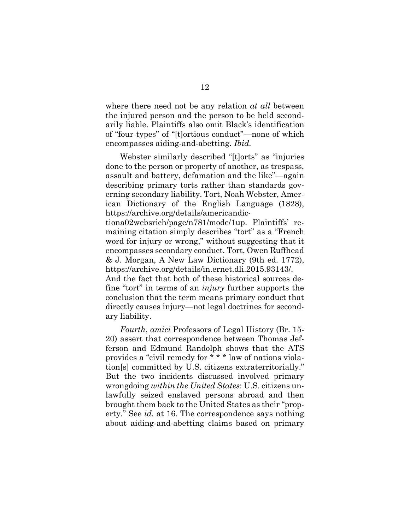where there need not be any relation *at all* between the injured person and the person to be held secondarily liable. Plaintiffs also omit Black's identification of "four types" of "[t]ortious conduct"—none of which encompasses aiding-and-abetting. *Ibid.*

Webster similarly described "[t]orts" as "injuries done to the person or property of another, as trespass, assault and battery, defamation and the like"—again describing primary torts rather than standards governing secondary liability. Tort, Noah Webster, American Dictionary of the English Language (1828), https://archive.org/details/americandic-

tiona02websrich/page/n781/mode/1up. Plaintiffs' remaining citation simply describes "tort" as a "French word for injury or wrong," without suggesting that it encompasses secondary conduct. Tort, Owen Ruffhead & J. Morgan, A New Law Dictionary (9th ed. 1772), https://archive.org/details/in.ernet.dli.2015.93143/.

And the fact that both of these historical sources define "tort" in terms of an *injury* further supports the conclusion that the term means primary conduct that directly causes injury—not legal doctrines for secondary liability.

*Fourth*, *amici* Professors of Legal History (Br. 15- 20) assert that correspondence between Thomas Jefferson and Edmund Randolph shows that the ATS provides a "civil remedy for \* \* \* law of nations violation[s] committed by U.S. citizens extraterritorially." But the two incidents discussed involved primary wrongdoing *within the United States*: U.S. citizens unlawfully seized enslaved persons abroad and then brought them back to the United States as their "property." See *id.* at 16. The correspondence says nothing about aiding-and-abetting claims based on primary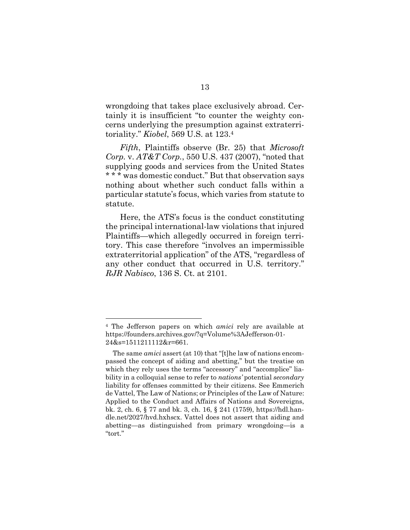wrongdoing that takes place exclusively abroad. Certainly it is insufficient "to counter the weighty concerns underlying the presumption against extraterritoriality." *Kiobel*, 569 U.S. at 123.<sup>4</sup>

*Fifth*, Plaintiffs observe (Br. 25) that *Microsoft Corp.* v. *AT&T Corp.*, 550 U.S. 437 (2007), "noted that supplying goods and services from the United States \* \* \* was domestic conduct." But that observation says nothing about whether such conduct falls within a particular statute's focus, which varies from statute to statute.

Here, the ATS's focus is the conduct constituting the principal international-law violations that injured Plaintiffs—which allegedly occurred in foreign territory. This case therefore "involves an impermissible extraterritorial application" of the ATS, "regardless of any other conduct that occurred in U.S. territory." *RJR Nabisco*, 136 S. Ct. at 2101.

<sup>4</sup> The Jefferson papers on which *amici* rely are available at https://founders.archives.gov/?q=Volume%3AJefferson-01- 24&s=1511211112&r=661.

The same *amici* assert (at 10) that "[t]he law of nations encompassed the concept of aiding and abetting," but the treatise on which they rely uses the terms "accessory" and "accomplice" liability in a colloquial sense to refer to *nations'* potential *secondary*  liability for offenses committed by their citizens. See Emmerich de Vattel, The Law of Nations; or Principles of the Law of Nature: Applied to the Conduct and Affairs of Nations and Sovereigns, bk. 2, ch. 6, § 77 and bk. 3, ch. 16, § 241 (1759), https://hdl.handle.net/2027/hvd.hxhscx. Vattel does not assert that aiding and abetting—as distinguished from primary wrongdoing—is a "tort."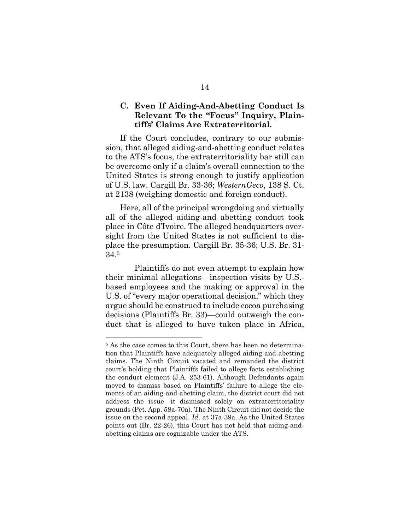### <span id="page-21-0"></span>**C. Even If Aiding-And-Abetting Conduct Is Relevant To the "Focus" Inquiry, Plaintiffs' Claims Are Extraterritorial.**

If the Court concludes, contrary to our submission, that alleged aiding-and-abetting conduct relates to the ATS's focus, the extraterritoriality bar still can be overcome only if a claim's overall connection to the United States is strong enough to justify application of U.S. law. Cargill Br. 33-36; *WesternGeco*, 138 S. Ct. at 2138 (weighing domestic and foreign conduct).

Here, all of the principal wrongdoing and virtually all of the alleged aiding-and abetting conduct took place in Côte d'Ivoire. The alleged headquarters oversight from the United States is not sufficient to displace the presumption. Cargill Br. 35-36; U.S. Br. 31- 34.<sup>5</sup>

 Plaintiffs do not even attempt to explain how their minimal allegations—inspection visits by U.S. based employees and the making or approval in the U.S. of "every major operational decision," which they argue should be construed to include cocoa purchasing decisions (Plaintiffs Br. 33)—could outweigh the conduct that is alleged to have taken place in Africa,

<sup>&</sup>lt;sup>5</sup> As the case comes to this Court, there has been no determination that Plaintiffs have adequately alleged aiding-and-abetting claims. The Ninth Circuit vacated and remanded the district court's holding that Plaintiffs failed to allege facts establishing the conduct element (J.A. 253-61). Although Defendants again moved to dismiss based on Plaintiffs' failure to allege the elements of an aiding-and-abetting claim, the district court did not address the issue—it dismissed solely on extraterritoriality grounds (Pet. App. 58a-70a). The Ninth Circuit did not decide the issue on the second appeal. *Id.* at 37a-39a. As the United States points out (Br. 22-26), this Court has not held that aiding-andabetting claims are cognizable under the ATS.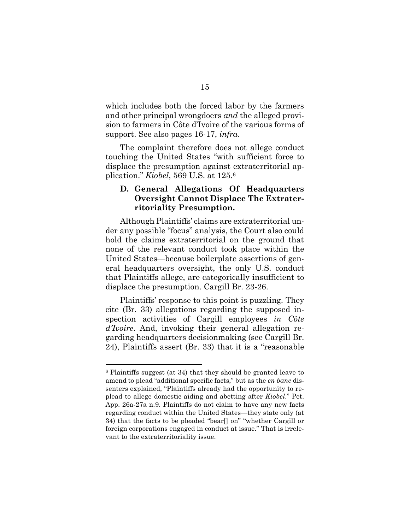which includes both the forced labor by the farmers and other principal wrongdoers *and* the alleged provision to farmers in Côte d'Ivoire of the various forms of support. See also pages 16-17, *infra*.

The complaint therefore does not allege conduct touching the United States "with sufficient force to displace the presumption against extraterritorial application." *Kiobel*, 569 U.S. at 125.<sup>6</sup>

### <span id="page-22-0"></span>**D. General Allegations Of Headquarters Oversight Cannot Displace The Extraterritoriality Presumption.**

Although Plaintiffs' claims are extraterritorial under any possible "focus" analysis, the Court also could hold the claims extraterritorial on the ground that none of the relevant conduct took place within the United States—because boilerplate assertions of general headquarters oversight, the only U.S. conduct that Plaintiffs allege, are categorically insufficient to displace the presumption. Cargill Br. 23-26.

Plaintiffs' response to this point is puzzling. They cite (Br. 33) allegations regarding the supposed inspection activities of Cargill employees *in Côte d'Ivoire*. And, invoking their general allegation regarding headquarters decisionmaking (see Cargill Br. 24), Plaintiffs assert (Br. 33) that it is a "reasonable

<sup>6</sup> Plaintiffs suggest (at 34) that they should be granted leave to amend to plead "additional specific facts," but as the *en banc* dissenters explained, "Plaintiffs already had the opportunity to replead to allege domestic aiding and abetting after *Kiobel*." Pet. App. 26a-27a n.9. Plaintiffs do not claim to have any new facts regarding conduct within the United States—they state only (at 34) that the facts to be pleaded "bear[] on" "whether Cargill or foreign corporations engaged in conduct at issue." That is irrelevant to the extraterritoriality issue.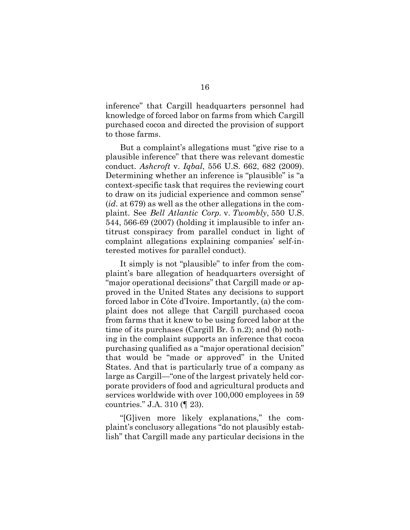inference" that Cargill headquarters personnel had knowledge of forced labor on farms from which Cargill purchased cocoa and directed the provision of support to those farms.

But a complaint's allegations must "give rise to a plausible inference" that there was relevant domestic conduct. *Ashcroft* v. *Iqbal*, 556 U.S. 662, 682 (2009). Determining whether an inference is "plausible" is "a context-specific task that requires the reviewing court to draw on its judicial experience and common sense" (*id*. at 679) as well as the other allegations in the complaint. See *Bell Atlantic Corp.* v. *Twombly*, 550 U.S. 544, 566-69 (2007) (holding it implausible to infer antitrust conspiracy from parallel conduct in light of complaint allegations explaining companies' self-interested motives for parallel conduct).

It simply is not "plausible" to infer from the complaint's bare allegation of headquarters oversight of "major operational decisions" that Cargill made or approved in the United States any decisions to support forced labor in Côte d'Ivoire. Importantly, (a) the complaint does not allege that Cargill purchased cocoa from farms that it knew to be using forced labor at the time of its purchases (Cargill Br. 5 n.2); and (b) nothing in the complaint supports an inference that cocoa purchasing qualified as a "major operational decision" that would be "made or approved" in the United States. And that is particularly true of a company as large as Cargill—"one of the largest privately held corporate providers of food and agricultural products and services worldwide with over 100,000 employees in 59 countries." J.A. 310 (¶ 23).

"[G]iven more likely explanations," the complaint's conclusory allegations "do not plausibly establish" that Cargill made any particular decisions in the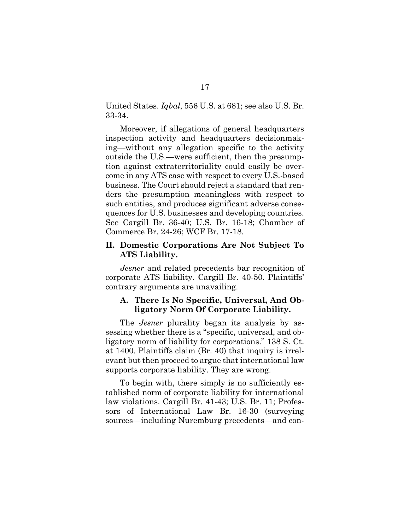United States. *Iqbal*, 556 U.S. at 681; see also U.S. Br. 33-34.

Moreover, if allegations of general headquarters inspection activity and headquarters decisionmaking—without any allegation specific to the activity outside the U.S.—were sufficient, then the presumption against extraterritoriality could easily be overcome in any ATS case with respect to every U.S.-based business. The Court should reject a standard that renders the presumption meaningless with respect to such entities, and produces significant adverse consequences for U.S. businesses and developing countries. See Cargill Br. 36-40; U.S. Br. 16-18; Chamber of Commerce Br. 24-26; WCF Br. 17-18.

#### <span id="page-24-0"></span>**II. Domestic Corporations Are Not Subject To ATS Liability.**

*Jesner* and related precedents bar recognition of corporate ATS liability. Cargill Br. 40-50. Plaintiffs' contrary arguments are unavailing.

### <span id="page-24-1"></span>**A. There Is No Specific, Universal, And Obligatory Norm Of Corporate Liability.**

The *Jesner* plurality began its analysis by assessing whether there is a "specific, universal, and obligatory norm of liability for corporations." 138 S. Ct. at 1400. Plaintiffs claim (Br. 40) that inquiry is irrelevant but then proceed to argue that international law supports corporate liability. They are wrong.

To begin with, there simply is no sufficiently established norm of corporate liability for international law violations. Cargill Br. 41-43; U.S. Br. 11; Professors of International Law Br. 16-30 (surveying sources—including Nuremburg precedents—and con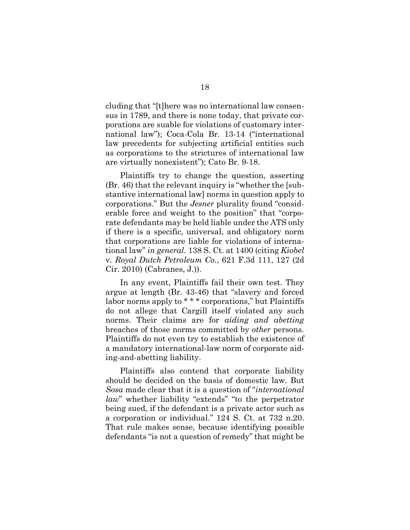cluding that "[t]here was no international law consensus in 1789, and there is none today, that private corporations are suable for violations of customary international law"); Coca-Cola Br. 13-14 ("international law precedents for subjecting artificial entities such as corporations to the strictures of international law are virtually nonexistent"); Cato Br. 9-18.

Plaintiffs try to change the question, asserting (Br. 46) that the relevant inquiry is "whether the [substantive international law] norms in question apply to corporations." But the *Jesner* plurality found "considerable force and weight to the position" that "corporate defendants may be held liable under the ATS only if there is a specific, universal, and obligatory norm that corporations are liable for violations of international law" *in general*. 138 S. Ct. at 1400 (citing *Kiobel*  v. *Royal Dutch Petroleum Co.*, 621 F.3d 111, 127 (2d Cir. 2010) (Cabranes, J.)).

In any event, Plaintiffs fail their own test. They argue at length (Br. 43-46) that "slavery and forced labor norms apply to \*\*\* corporations," but Plaintiffs do not allege that Cargill itself violated any such norms. Their claims are for *aiding and abetting* breaches of those norms committed by *other* persons. Plaintiffs do not even try to establish the existence of a mandatory international-law norm of corporate aiding-and-abetting liability.

Plaintiffs also contend that corporate liability should be decided on the basis of domestic law. But *Sosa* made clear that it is a question of "*international law*" whether liability "extends" "to the perpetrator being sued, if the defendant is a private actor such as a corporation or individual." 124 S. Ct. at 732 n.20. That rule makes sense, because identifying possible defendants "is not a question of remedy" that might be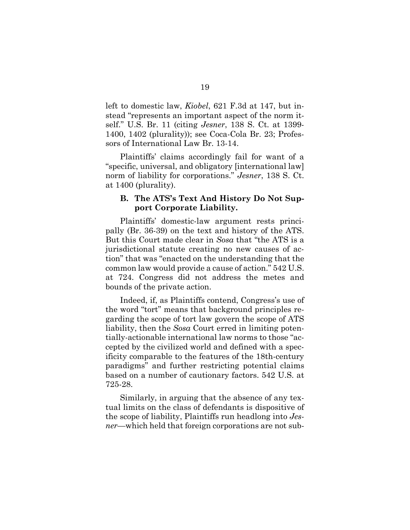left to domestic law, *Kiobel*, 621 F.3d at 147, but instead "represents an important aspect of the norm itself." U.S. Br. 11 (citing *Jesner*, 138 S. Ct. at 1399- 1400, 1402 (plurality)); see Coca-Cola Br. 23; Professors of International Law Br. 13-14.

Plaintiffs' claims accordingly fail for want of a "specific, universal, and obligatory [international law] norm of liability for corporations." *Jesner*, 138 S. Ct. at 1400 (plurality).

#### <span id="page-26-0"></span>**B. The ATS's Text And History Do Not Support Corporate Liability.**

Plaintiffs' domestic-law argument rests principally (Br. 36-39) on the text and history of the ATS. But this Court made clear in *Sosa* that "the ATS is a jurisdictional statute creating no new causes of action" that was "enacted on the understanding that the common law would provide a cause of action." 542 U.S. at 724. Congress did not address the metes and bounds of the private action.

Indeed, if, as Plaintiffs contend, Congress's use of the word "tort" means that background principles regarding the scope of tort law govern the scope of ATS liability, then the *Sosa* Court erred in limiting potentially-actionable international law norms to those "accepted by the civilized world and defined with a specificity comparable to the features of the 18th-century paradigms" and further restricting potential claims based on a number of cautionary factors. 542 U.S. at 725-28.

Similarly, in arguing that the absence of any textual limits on the class of defendants is dispositive of the scope of liability, Plaintiffs run headlong into *Jesner*—which held that foreign corporations are not sub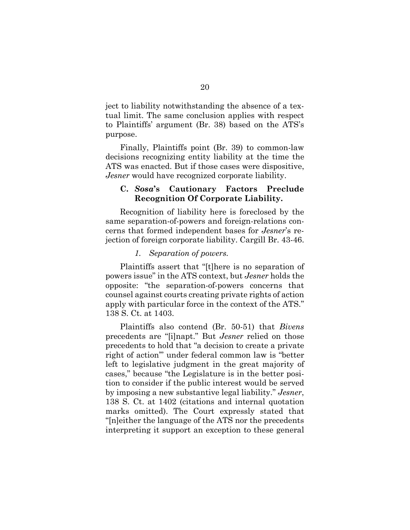ject to liability notwithstanding the absence of a textual limit. The same conclusion applies with respect to Plaintiffs' argument (Br. 38) based on the ATS's purpose.

Finally, Plaintiffs point (Br. 39) to common-law decisions recognizing entity liability at the time the ATS was enacted. But if those cases were dispositive, *Jesner* would have recognized corporate liability.

#### <span id="page-27-0"></span>**C.** *Sosa***'s Cautionary Factors Preclude Recognition Of Corporate Liability.**

Recognition of liability here is foreclosed by the same separation-of-powers and foreign-relations concerns that formed independent bases for *Jesner*'s rejection of foreign corporate liability. Cargill Br. 43-46.

#### *1. Separation of powers.*

<span id="page-27-1"></span>Plaintiffs assert that "[t]here is no separation of powers issue" in the ATS context, but *Jesner* holds the opposite: "the separation-of-powers concerns that counsel against courts creating private rights of action apply with particular force in the context of the ATS." 138 S. Ct. at 1403.

Plaintiffs also contend (Br. 50-51) that *Bivens* precedents are "[i]napt." But *Jesner* relied on those precedents to hold that "a decision to create a private right of action'" under federal common law is "better left to legislative judgment in the great majority of cases," because "the Legislature is in the better position to consider if the public interest would be served by imposing a new substantive legal liability." *Jesner*, 138 S. Ct. at 1402 (citations and internal quotation marks omitted). The Court expressly stated that "[n]either the language of the ATS nor the precedents interpreting it support an exception to these general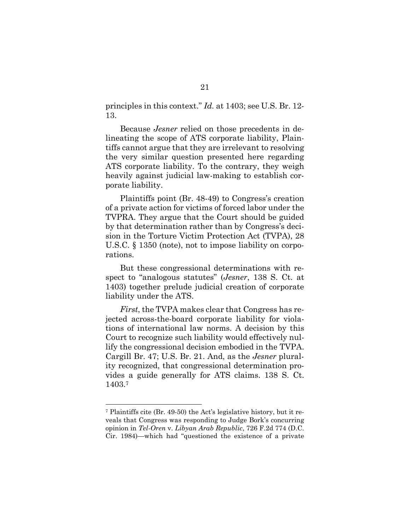principles in this context." *Id.* at 1403; see U.S. Br. 12- 13.

Because *Jesner* relied on those precedents in delineating the scope of ATS corporate liability, Plaintiffs cannot argue that they are irrelevant to resolving the very similar question presented here regarding ATS corporate liability. To the contrary, they weigh heavily against judicial law-making to establish corporate liability.

Plaintiffs point (Br. 48-49) to Congress's creation of a private action for victims of forced labor under the TVPRA. They argue that the Court should be guided by that determination rather than by Congress's decision in the Torture Victim Protection Act (TVPA), 28 U.S.C. § 1350 (note), not to impose liability on corporations.

But these congressional determinations with respect to "analogous statutes" (*Jesner*, 138 S. Ct. at 1403) together prelude judicial creation of corporate liability under the ATS.

*First*, the TVPA makes clear that Congress has rejected across-the-board corporate liability for violations of international law norms. A decision by this Court to recognize such liability would effectively nullify the congressional decision embodied in the TVPA. Cargill Br. 47; U.S. Br. 21. And, as the *Jesner* plurality recognized, that congressional determination provides a guide generally for ATS claims. 138 S. Ct. 1403.<sup>7</sup>

<sup>7</sup> Plaintiffs cite (Br. 49-50) the Act's legislative history, but it reveals that Congress was responding to Judge Bork's concurring opinion in *Tel-Oren* v. *Libyan Arab Republic*, 726 F.2d 774 (D.C. Cir. 1984)—which had "questioned the existence of a private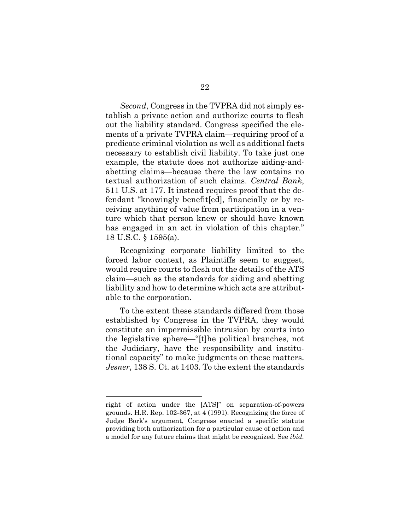*Second*, Congress in the TVPRA did not simply establish a private action and authorize courts to flesh out the liability standard. Congress specified the elements of a private TVPRA claim—requiring proof of a predicate criminal violation as well as additional facts necessary to establish civil liability. To take just one example, the statute does not authorize aiding-andabetting claims—because there the law contains no textual authorization of such claims. *Central Bank*, 511 U.S. at 177. It instead requires proof that the defendant "knowingly benefit[ed], financially or by receiving anything of value from participation in a venture which that person knew or should have known has engaged in an act in violation of this chapter." 18 U.S.C. § 1595(a).

Recognizing corporate liability limited to the forced labor context, as Plaintiffs seem to suggest, would require courts to flesh out the details of the ATS claim—such as the standards for aiding and abetting liability and how to determine which acts are attributable to the corporation.

To the extent these standards differed from those established by Congress in the TVPRA, they would constitute an impermissible intrusion by courts into the legislative sphere—"[t]he political branches, not the Judiciary, have the responsibility and institutional capacity" to make judgments on these matters. *Jesner*, 138 S. Ct. at 1403. To the extent the standards

right of action under the [ATS]" on separation-of-powers grounds. H.R. Rep. 102-367, at 4 (1991). Recognizing the force of Judge Bork's argument, Congress enacted a specific statute providing both authorization for a particular cause of action and a model for any future claims that might be recognized. See *ibid.*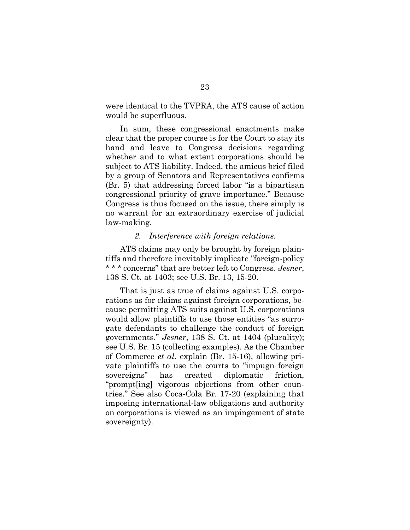were identical to the TVPRA, the ATS cause of action would be superfluous.

In sum, these congressional enactments make clear that the proper course is for the Court to stay its hand and leave to Congress decisions regarding whether and to what extent corporations should be subject to ATS liability. Indeed, the amicus brief filed by a group of Senators and Representatives confirms (Br. 5) that addressing forced labor "is a bipartisan congressional priority of grave importance." Because Congress is thus focused on the issue, there simply is no warrant for an extraordinary exercise of judicial law-making.

#### *2. Interference with foreign relations.*

<span id="page-30-0"></span>ATS claims may only be brought by foreign plaintiffs and therefore inevitably implicate "foreign-policy \* \* \* concerns" that are better left to Congress. *Jesner*, 138 S. Ct. at 1403; see U.S. Br. 13, 15-20.

That is just as true of claims against U.S. corporations as for claims against foreign corporations, because permitting ATS suits against U.S. corporations would allow plaintiffs to use those entities "as surrogate defendants to challenge the conduct of foreign governments." *Jesner*, 138 S. Ct. at 1404 (plurality); see U.S. Br. 15 (collecting examples). As the Chamber of Commerce *et al.* explain (Br. 15-16), allowing private plaintiffs to use the courts to "impugn foreign sovereigns" has created diplomatic friction, "prompt[ing] vigorous objections from other countries." See also Coca-Cola Br. 17-20 (explaining that imposing international-law obligations and authority on corporations is viewed as an impingement of state sovereignty).